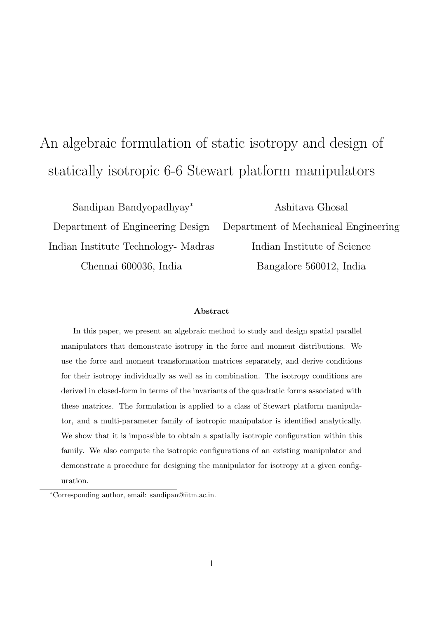# An algebraic formulation of static isotropy and design of statically isotropic 6-6 Stewart platform manipulators

Indian Institute Technology- Madras Indian Institute of Science Chennai 600036, India Bangalore 560012, India

Sandipan Bandyopadhyay<sup>∗</sup> Ashitava Ghosal Department of Engineering Design Department of Mechanical Engineering

#### Abstract

In this paper, we present an algebraic method to study and design spatial parallel manipulators that demonstrate isotropy in the force and moment distributions. We use the force and moment transformation matrices separately, and derive conditions for their isotropy individually as well as in combination. The isotropy conditions are derived in closed-form in terms of the invariants of the quadratic forms associated with these matrices. The formulation is applied to a class of Stewart platform manipulator, and a multi-parameter family of isotropic manipulator is identified analytically. We show that it is impossible to obtain a spatially isotropic configuration within this family. We also compute the isotropic configurations of an existing manipulator and demonstrate a procedure for designing the manipulator for isotropy at a given configuration.

<sup>∗</sup>Corresponding author, email: sandipan@iitm.ac.in.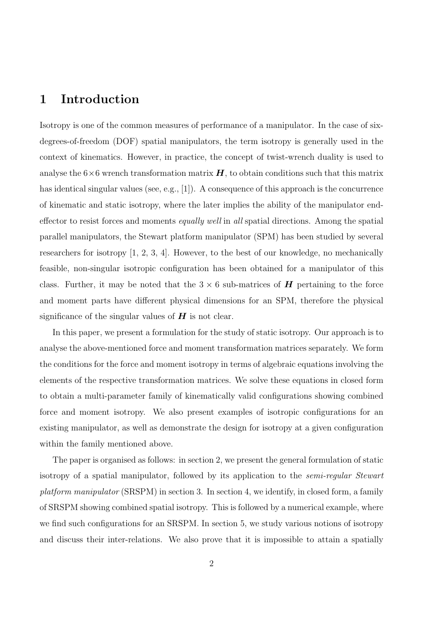# 1 Introduction

Isotropy is one of the common measures of performance of a manipulator. In the case of sixdegrees-of-freedom (DOF) spatial manipulators, the term isotropy is generally used in the context of kinematics. However, in practice, the concept of twist-wrench duality is used to analyse the  $6\times6$  wrench transformation matrix  $H$ , to obtain conditions such that this matrix has identical singular values (see, e.g., [1]). A consequence of this approach is the concurrence of kinematic and static isotropy, where the later implies the ability of the manipulator endeffector to resist forces and moments *equally well* in all spatial directions. Among the spatial parallel manipulators, the Stewart platform manipulator (SPM) has been studied by several researchers for isotropy [1, 2, 3, 4]. However, to the best of our knowledge, no mechanically feasible, non-singular isotropic configuration has been obtained for a manipulator of this class. Further, it may be noted that the  $3 \times 6$  sub-matrices of **H** pertaining to the force and moment parts have different physical dimensions for an SPM, therefore the physical significance of the singular values of  $H$  is not clear.

In this paper, we present a formulation for the study of static isotropy. Our approach is to analyse the above-mentioned force and moment transformation matrices separately. We form the conditions for the force and moment isotropy in terms of algebraic equations involving the elements of the respective transformation matrices. We solve these equations in closed form to obtain a multi-parameter family of kinematically valid configurations showing combined force and moment isotropy. We also present examples of isotropic configurations for an existing manipulator, as well as demonstrate the design for isotropy at a given configuration within the family mentioned above.

The paper is organised as follows: in section 2, we present the general formulation of static isotropy of a spatial manipulator, followed by its application to the semi-regular Stewart platform manipulator (SRSPM) in section 3. In section 4, we identify, in closed form, a family of SRSPM showing combined spatial isotropy. This is followed by a numerical example, where we find such configurations for an SRSPM. In section 5, we study various notions of isotropy and discuss their inter-relations. We also prove that it is impossible to attain a spatially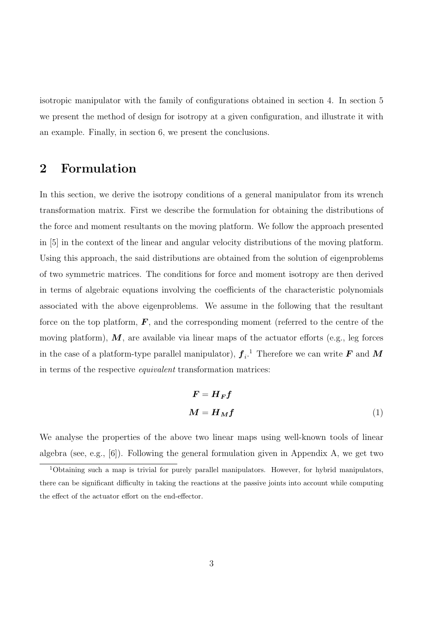isotropic manipulator with the family of configurations obtained in section 4. In section 5 we present the method of design for isotropy at a given configuration, and illustrate it with an example. Finally, in section 6, we present the conclusions.

# 2 Formulation

In this section, we derive the isotropy conditions of a general manipulator from its wrench transformation matrix. First we describe the formulation for obtaining the distributions of the force and moment resultants on the moving platform. We follow the approach presented in [5] in the context of the linear and angular velocity distributions of the moving platform. Using this approach, the said distributions are obtained from the solution of eigenproblems of two symmetric matrices. The conditions for force and moment isotropy are then derived in terms of algebraic equations involving the coefficients of the characteristic polynomials associated with the above eigenproblems. We assume in the following that the resultant force on the top platform,  $\vec{F}$ , and the corresponding moment (referred to the centre of the moving platform),  $M$ , are available via linear maps of the actuator efforts (e.g., leg forces in the case of a platform-type parallel manipulator),  $\boldsymbol{f}_i$ .<sup>1</sup> Therefore we can write  $\boldsymbol{F}$  and  $\boldsymbol{M}$ in terms of the respective equivalent transformation matrices:

$$
F = H_F f
$$

$$
M = H_M f
$$
 (1)

We analyse the properties of the above two linear maps using well-known tools of linear algebra (see, e.g., [6]). Following the general formulation given in Appendix A, we get two

<sup>&</sup>lt;sup>1</sup>Obtaining such a map is trivial for purely parallel manipulators. However, for hybrid manipulators, there can be significant difficulty in taking the reactions at the passive joints into account while computing the effect of the actuator effort on the end-effector.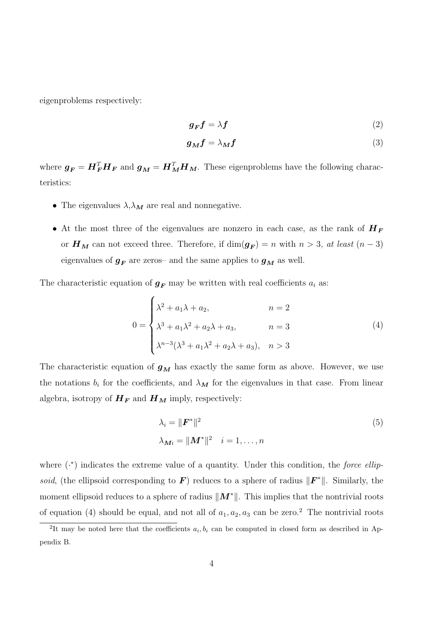eigenproblems respectively:

$$
g_F f = \lambda f \tag{2}
$$

$$
g_M f = \lambda_M f \tag{3}
$$

where  $g_F = H_F^T H_F$  and  $g_M = H_M^T H_M$ . These eigenproblems have the following characteristics:

- The eigenvalues  $\lambda, \lambda_M$  are real and nonnegative.
- At the most three of the eigenvalues are nonzero in each case, as the rank of  $H_F$ or  $H_M$  can not exceed three. Therefore, if  $\dim(g_F) = n$  with  $n > 3$ , at least  $(n-3)$ eigenvalues of  $g_F$  are zeros- and the same applies to  $g_M$  as well.

The characteristic equation of  $g_F$  may be written with real coefficients  $a_i$  as:

$$
0 = \begin{cases} \lambda^2 + a_1 \lambda + a_2, & n = 2 \\ \lambda^3 + a_1 \lambda^2 + a_2 \lambda + a_3, & n = 3 \\ \lambda^{n-3} (\lambda^3 + a_1 \lambda^2 + a_2 \lambda + a_3), & n > 3 \end{cases}
$$
(4)

The characteristic equation of  $g_M$  has exactly the same form as above. However, we use the notations  $b_i$  for the coefficients, and  $\lambda_M$  for the eigenvalues in that case. From linear algebra, isotropy of  $H_F$  and  $H_M$  imply, respectively:

$$
\lambda_i = \|\boldsymbol{F}^*\|^2
$$
  
\n
$$
\lambda_{\boldsymbol{M}i} = \|\boldsymbol{M}^*\|^2 \quad i = 1, \dots, n
$$
\n(5)

where  $(*)$  indicates the extreme value of a quantity. Under this condition, the *force ellip*soid, (the ellipsoid corresponding to  $\bf{F}$ ) reduces to a sphere of radius  $\|\bf{F}^*\|$ . Similarly, the moment ellipsoid reduces to a sphere of radius  $||M^*||$ . This implies that the nontrivial roots of equation (4) should be equal, and not all of  $a_1, a_2, a_3$  can be zero.<sup>2</sup> The nontrivial roots

<sup>&</sup>lt;sup>2</sup>It may be noted here that the coefficients  $a_i, b_i$  can be computed in closed form as described in Appendix B.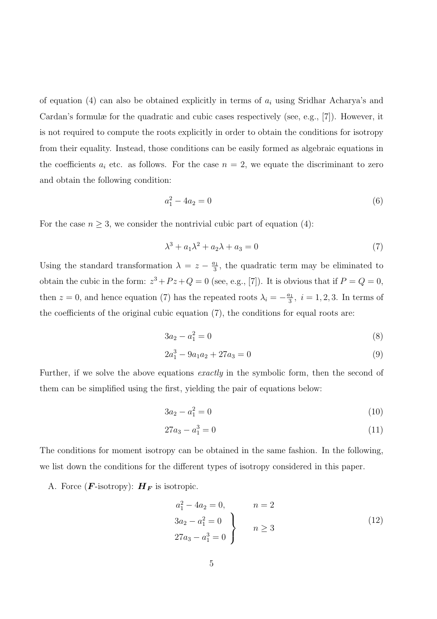of equation (4) can also be obtained explicitly in terms of  $a_i$  using Sridhar Acharya's and Cardan's formulæ for the quadratic and cubic cases respectively (see, e.g., [7]). However, it is not required to compute the roots explicitly in order to obtain the conditions for isotropy from their equality. Instead, those conditions can be easily formed as algebraic equations in the coefficients  $a_i$  etc. as follows. For the case  $n = 2$ , we equate the discriminant to zero and obtain the following condition:

$$
a_1^2 - 4a_2 = 0 \tag{6}
$$

For the case  $n \geq 3$ , we consider the nontrivial cubic part of equation (4):

$$
\lambda^3 + a_1 \lambda^2 + a_2 \lambda + a_3 = 0 \tag{7}
$$

Using the standard transformation  $\lambda = z - \frac{a_1}{3}$  $\frac{a_1}{3}$ , the quadratic term may be eliminated to obtain the cubic in the form:  $z^3 + Pz + Q = 0$  (see, e.g., [7]). It is obvious that if  $P = Q = 0$ , then  $z = 0$ , and hence equation (7) has the repeated roots  $\lambda_i = -\frac{a_1}{3}$  $\frac{i_1}{3}$ ,  $i = 1, 2, 3$ . In terms of the coefficients of the original cubic equation (7), the conditions for equal roots are:

$$
3a_2 - a_1^2 = 0 \tag{8}
$$

$$
2a_1^3 - 9a_1a_2 + 27a_3 = 0 \tag{9}
$$

Further, if we solve the above equations *exactly* in the symbolic form, then the second of them can be simplified using the first, yielding the pair of equations below:

$$
3a_2 - a_1^2 = 0 \tag{10}
$$

$$
27a_3 - a_1^3 = 0 \tag{11}
$$

The conditions for moment isotropy can be obtained in the same fashion. In the following, we list down the conditions for the different types of isotropy considered in this paper.

A. Force  $(F\text{-isotropy})$ :  $H_F$  is isotropic.

$$
a_1^2 - 4a_2 = 0, \t n = 2
$$
  
\n
$$
3a_2 - a_1^2 = 0
$$
  
\n
$$
27a_3 - a_1^3 = 0
$$
  
\n
$$
n \ge 3
$$
  
\n
$$
n \ge 3
$$
  
\n(12)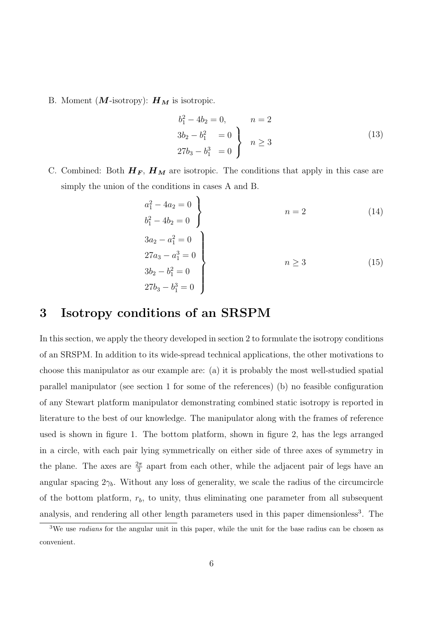B. Moment  $(M\text{-isotropy})$ :  $H_M$  is isotropic.

$$
b_1^2 - 4b_2 = 0, \t n = 2
$$
  
\n
$$
3b_2 - b_1^2 = 0
$$
  
\n
$$
27b_3 - b_1^3 = 0
$$
  
\n
$$
n \ge 3
$$
\n(13)

C. Combined: Both  $H_F$ ,  $H_M$  are isotropic. The conditions that apply in this case are simply the union of the conditions in cases A and B.

$$
a_1^2 - 4a_2 = 0 \n b_1^2 - 4b_2 = 0 \n 3a_2 - a_1^2 = 0 \n 27a_3 - a_1^3 = 0 \n 3b_2 - b_1^2 = 0 \n 27b_3 - b_1^3 = 0
$$
\n(15)

### 3 Isotropy conditions of an SRSPM

In this section, we apply the theory developed in section 2 to formulate the isotropy conditions of an SRSPM. In addition to its wide-spread technical applications, the other motivations to choose this manipulator as our example are: (a) it is probably the most well-studied spatial parallel manipulator (see section 1 for some of the references) (b) no feasible configuration of any Stewart platform manipulator demonstrating combined static isotropy is reported in literature to the best of our knowledge. The manipulator along with the frames of reference used is shown in figure 1. The bottom platform, shown in figure 2, has the legs arranged in a circle, with each pair lying symmetrically on either side of three axes of symmetry in the plane. The axes are  $\frac{2\pi}{3}$  apart from each other, while the adjacent pair of legs have an angular spacing  $2\gamma_b$ . Without any loss of generality, we scale the radius of the circumcircle of the bottom platform,  $r_b$ , to unity, thus eliminating one parameter from all subsequent analysis, and rendering all other length parameters used in this paper dimensionless<sup>3</sup>. The

<sup>&</sup>lt;sup>3</sup>We use *radians* for the angular unit in this paper, while the unit for the base radius can be chosen as convenient.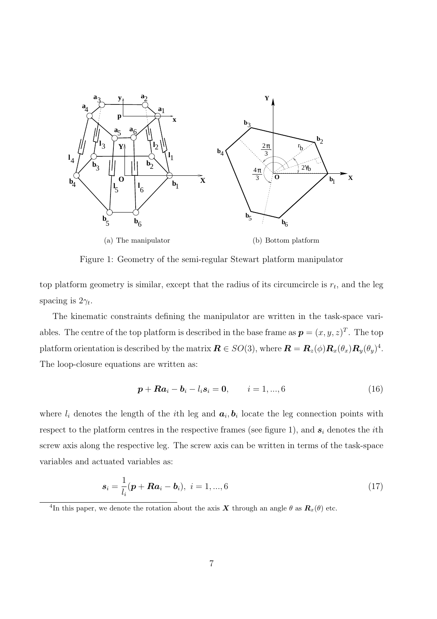

Figure 1: Geometry of the semi-regular Stewart platform manipulator

top platform geometry is similar, except that the radius of its circumcircle is  $r_t$ , and the leg spacing is  $2\gamma_t$ .

The kinematic constraints defining the manipulator are written in the task-space variables. The centre of the top platform is described in the base frame as  $p = (x, y, z)^T$ . The top platform orientation is described by the matrix  $\boldsymbol{R}\in SO(3)$ , where  $\boldsymbol{R}=\boldsymbol{R}_z(\phi)\boldsymbol{R}_x(\theta_x)\boldsymbol{R}_y(\theta_y)^4$ . The loop-closure equations are written as:

$$
p + Ra_i - b_i - l_i s_i = 0, \qquad i = 1, ..., 6
$$
 (16)

where  $l_i$  denotes the length of the *i*<sup>th</sup> leg and  $a_i, b_i$  locate the leg connection points with respect to the platform centres in the respective frames (see figure 1), and  $s_i$  denotes the *i*th screw axis along the respective leg. The screw axis can be written in terms of the task-space variables and actuated variables as:

$$
s_i = \frac{1}{l_i}(\mathbf{p} + \mathbf{R}\mathbf{a}_i - \mathbf{b}_i), \ i = 1, ..., 6
$$
 (17)

<sup>&</sup>lt;sup>4</sup>In this paper, we denote the rotation about the axis X through an angle  $\theta$  as  $\mathbf{R}_x(\theta)$  etc.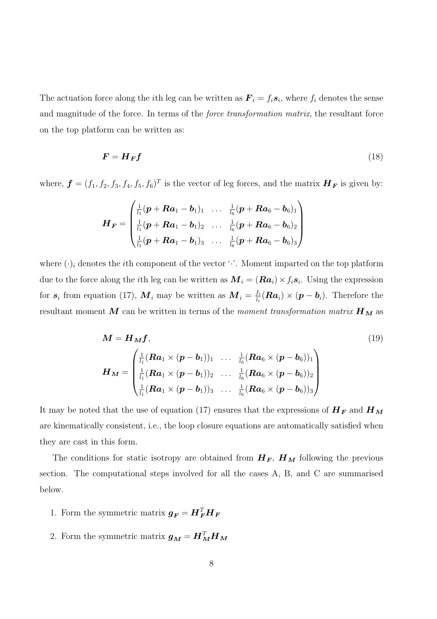The actuation force along the *i*th leg can be written as  $\mathbf{F}_i = f_i s_i$ , where  $f_i$  denotes the sense and magnitude of the force. In terms of the *force transformation matrix*, the resultant force on the top platform can be written as:

$$
F = H_F f \tag{18}
$$

where,  $\boldsymbol{f} = (f_1, f_2, f_3, f_4, f_5, f_6)^T$  is the vector of leg forces, and the matrix  $\boldsymbol{H_F}$  is given by:

$$
\boldsymbol{H}_{\boldsymbol{F}} = \begin{pmatrix} \frac{1}{l_1} (\boldsymbol{p} + \boldsymbol{R} \boldsymbol{a}_1 - \boldsymbol{b}_1)_1 & \dots & \frac{1}{l_6} (\boldsymbol{p} + \boldsymbol{R} \boldsymbol{a}_6 - \boldsymbol{b}_6)_1 \\ \frac{1}{l_1} (\boldsymbol{p} + \boldsymbol{R} \boldsymbol{a}_1 - \boldsymbol{b}_1)_2 & \dots & \frac{1}{l_6} (\boldsymbol{p} + \boldsymbol{R} \boldsymbol{a}_6 - \boldsymbol{b}_6)_2 \\ \frac{1}{l_1} (\boldsymbol{p} + \boldsymbol{R} \boldsymbol{a}_1 - \boldsymbol{b}_1)_3 & \dots & \frac{1}{l_6} (\boldsymbol{p} + \boldsymbol{R} \boldsymbol{a}_6 - \boldsymbol{b}_6)_3 \end{pmatrix}
$$

where  $(\cdot)_i$  denotes the *i*th component of the vector ' $\cdot$ '. Moment imparted on the top platform due to the force along the *i*<sup>th</sup> leg can be written as  $M_i = (Ra_i) \times f_i s_i$ . Using the expression for  $s_i$  from equation (17),  $\boldsymbol{M}_i$  may be written as  $\boldsymbol{M}_i = \frac{f_i}{l_i}$  $\frac{f_i}{l_i}(\boldsymbol{R} \boldsymbol{a}_i) \times (\boldsymbol{p} - \boldsymbol{b}_i)$ . Therefore the resultant moment M can be written in terms of the moment transformation matrix  $\boldsymbol{H}_{\boldsymbol{M}}$  as

$$
M = H_M f, \qquad (19)
$$
  

$$
H_M = \begin{pmatrix} \frac{1}{l_1} (Ra_1 \times (p - b_1))_1 & \dots & \frac{1}{l_6} (Ra_6 \times (p - b_6))_1 \\ \frac{1}{l_1} (Ra_1 \times (p - b_1))_2 & \dots & \frac{1}{l_6} (Ra_6 \times (p - b_6))_2 \\ \frac{1}{l_1} (Ra_1 \times (p - b_1))_3 & \dots & \frac{1}{l_6} (Ra_6 \times (p - b_6))_3 \end{pmatrix}
$$

It may be noted that the use of equation (17) ensures that the expressions of  $H_F$  and  $H_M$ are kinematically consistent, i.e., the loop closure equations are automatically satisfied when they are cast in this form.

The conditions for static isotropy are obtained from  $H_F$ ,  $H_M$  following the previous section. The computational steps involved for all the cases A, B, and C are summarised below.

- 1. Form the symmetric matrix  $g_F = H_F^T H_F$
- 2. Form the symmetric matrix  $g_M = H_M^T H_M$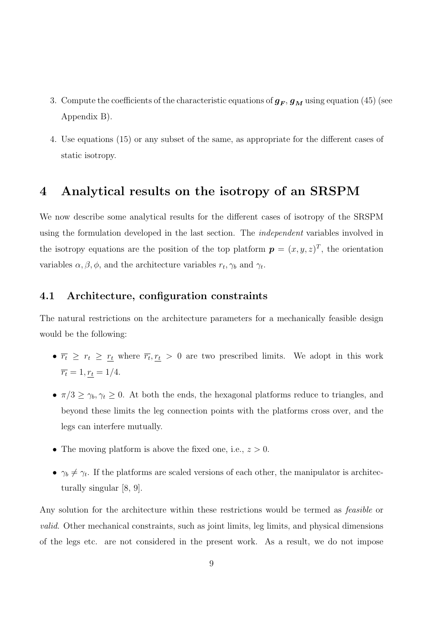- 3. Compute the coefficients of the characteristic equations of  $g_F$ ,  $g_M$  using equation (45) (see Appendix B).
- 4. Use equations (15) or any subset of the same, as appropriate for the different cases of static isotropy.

## 4 Analytical results on the isotropy of an SRSPM

We now describe some analytical results for the different cases of isotropy of the SRSPM using the formulation developed in the last section. The independent variables involved in the isotropy equations are the position of the top platform  $p = (x, y, z)^T$ , the orientation variables  $\alpha, \beta, \phi$ , and the architecture variables  $r_t, \gamma_b$  and  $\gamma_t$ .

### 4.1 Architecture, configuration constraints

The natural restrictions on the architecture parameters for a mechanically feasible design would be the following:

- $\overline{r_t} \geq r_t \geq \overline{r_t}$  where  $\overline{r_t}, \overline{r_t} > 0$  are two prescribed limits. We adopt in this work  $\overline{r_t} = 1, \underline{r_t} = 1/4.$
- $\pi/3 \ge \gamma_b, \gamma_t \ge 0$ . At both the ends, the hexagonal platforms reduce to triangles, and beyond these limits the leg connection points with the platforms cross over, and the legs can interfere mutually.
- The moving platform is above the fixed one, i.e.,  $z > 0$ .
- $\gamma_b \neq \gamma_t$ . If the platforms are scaled versions of each other, the manipulator is architecturally singular [8, 9].

Any solution for the architecture within these restrictions would be termed as feasible or valid. Other mechanical constraints, such as joint limits, leg limits, and physical dimensions of the legs etc. are not considered in the present work. As a result, we do not impose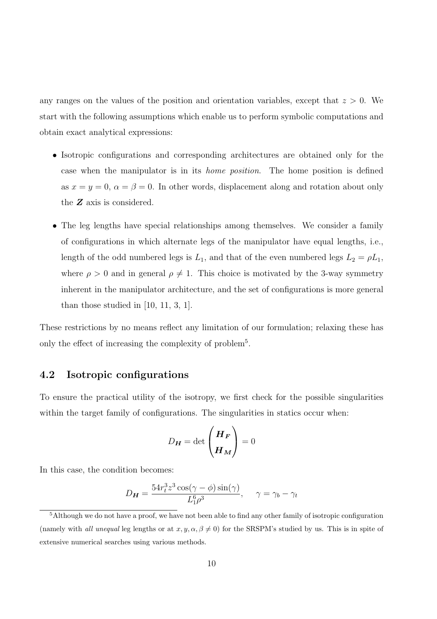any ranges on the values of the position and orientation variables, except that  $z > 0$ . We start with the following assumptions which enable us to perform symbolic computations and obtain exact analytical expressions:

- Isotropic configurations and corresponding architectures are obtained only for the case when the manipulator is in its home position. The home position is defined as  $x = y = 0$ ,  $\alpha = \beta = 0$ . In other words, displacement along and rotation about only the Z axis is considered.
- The leg lengths have special relationships among themselves. We consider a family of configurations in which alternate legs of the manipulator have equal lengths, i.e., length of the odd numbered legs is  $L_1$ , and that of the even numbered legs  $L_2 = \rho L_1$ , where  $\rho > 0$  and in general  $\rho \neq 1$ . This choice is motivated by the 3-way symmetry inherent in the manipulator architecture, and the set of configurations is more general than those studied in [10, 11, 3, 1].

These restrictions by no means reflect any limitation of our formulation; relaxing these has only the effect of increasing the complexity of problem<sup>5</sup>.

### 4.2 Isotropic configurations

To ensure the practical utility of the isotropy, we first check for the possible singularities within the target family of configurations. The singularities in statics occur when:

$$
D_{\boldsymbol{H}} = \det \begin{pmatrix} \boldsymbol{H}_{\boldsymbol{F}} \\ \boldsymbol{H}_{\boldsymbol{M}} \end{pmatrix} = 0
$$

In this case, the condition becomes:

$$
D_{\mathbf{H}} = \frac{54r_t^3 z^3 \cos(\gamma - \phi)\sin(\gamma)}{L_1^6 \rho^3}, \quad \gamma = \gamma_b - \gamma_t
$$

<sup>5</sup>Although we do not have a proof, we have not been able to find any other family of isotropic configuration (namely with all unequal leg lengths or at  $x, y, \alpha, \beta \neq 0$ ) for the SRSPM's studied by us. This is in spite of extensive numerical searches using various methods.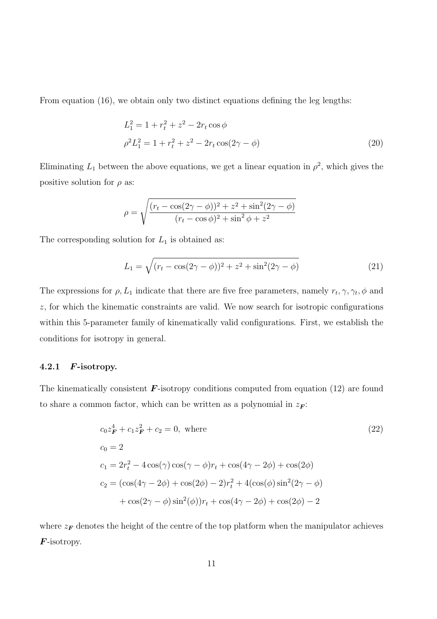From equation (16), we obtain only two distinct equations defining the leg lengths:

$$
L_1^2 = 1 + r_t^2 + z^2 - 2r_t \cos \phi
$$
  
\n
$$
\rho^2 L_1^2 = 1 + r_t^2 + z^2 - 2r_t \cos(2\gamma - \phi)
$$
\n(20)

Eliminating  $L_1$  between the above equations, we get a linear equation in  $\rho^2$ , which gives the positive solution for  $\rho$  as:

$$
\rho = \sqrt{\frac{(r_t - \cos(2\gamma - \phi))^2 + z^2 + \sin^2(2\gamma - \phi)}{(r_t - \cos\phi)^2 + \sin^2\phi + z^2}}
$$

The corresponding solution for  $L_1$  is obtained as:

$$
L_1 = \sqrt{(r_t - \cos(2\gamma - \phi))^2 + z^2 + \sin^2(2\gamma - \phi)}
$$
 (21)

The expressions for  $\rho$ ,  $L_1$  indicate that there are five free parameters, namely  $r_t, \gamma, \gamma_t, \phi$  and z, for which the kinematic constraints are valid. We now search for isotropic configurations within this 5-parameter family of kinematically valid configurations. First, we establish the conditions for isotropy in general.

#### 4.2.1 F-isotropy.

The kinematically consistent  $\boldsymbol{F}$ -isotropy conditions computed from equation (12) are found to share a common factor, which can be written as a polynomial in  $z_F$ :

$$
c_0 z_F^4 + c_1 z_F^2 + c_2 = 0, \text{ where}
$$
  
\n
$$
c_0 = 2
$$
  
\n
$$
c_1 = 2r_t^2 - 4\cos(\gamma)\cos(\gamma - \phi)r_t + \cos(4\gamma - 2\phi) + \cos(2\phi)
$$
  
\n
$$
c_2 = (\cos(4\gamma - 2\phi) + \cos(2\phi) - 2)r_t^2 + 4(\cos(\phi)\sin^2(2\gamma - \phi) + \cos(2\gamma - \phi)\sin^2(\phi))r_t + \cos(4\gamma - 2\phi) + \cos(2\phi) - 2
$$
\n(22)

where  $z_F$  denotes the height of the centre of the top platform when the manipulator achieves  $\bm{F}$ -isotropy.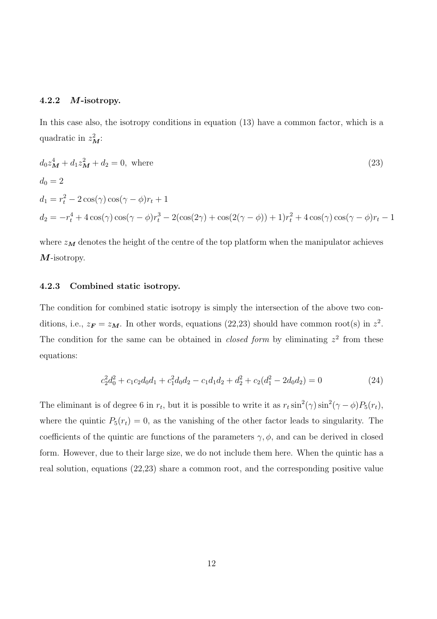### 4.2.2 M-isotropy.

In this case also, the isotropy conditions in equation (13) have a common factor, which is a quadratic in  $z_M^2$ :

$$
d_0 z_M^4 + d_1 z_M^2 + d_2 = 0, \text{ where}
$$
\n
$$
d_0 = 2
$$
\n
$$
d_1 = r_t^2 - 2\cos(\gamma)\cos(\gamma - \phi)r_t + 1
$$
\n
$$
d_2 = -r_t^4 + 4\cos(\gamma)\cos(\gamma - \phi)r_t^3 - 2(\cos(2\gamma) + \cos(2(\gamma - \phi)) + 1)r_t^2 + 4\cos(\gamma)\cos(\gamma - \phi)r_t - 1
$$
\n(23)

where  $z_M$  denotes the height of the centre of the top platform when the manipulator achieves M-isotropy.

#### 4.2.3 Combined static isotropy.

The condition for combined static isotropy is simply the intersection of the above two conditions, i.e.,  $z_F = z_M$ . In other words, equations (22,23) should have common root(s) in  $z^2$ . The condition for the same can be obtained in *closed form* by eliminating  $z^2$  from these equations:

$$
c_2^2 d_0^2 + c_1 c_2 d_0 d_1 + c_1^2 d_0 d_2 - c_1 d_1 d_2 + d_2^2 + c_2 (d_1^2 - 2 d_0 d_2) = 0
$$
\n(24)

The eliminant is of degree 6 in  $r_t$ , but it is possible to write it as  $r_t \sin^2(\gamma) \sin^2(\gamma - \phi) P_5(r_t)$ , where the quintic  $P_5(r_t) = 0$ , as the vanishing of the other factor leads to singularity. The coefficients of the quintic are functions of the parameters  $\gamma$ ,  $\phi$ , and can be derived in closed form. However, due to their large size, we do not include them here. When the quintic has a real solution, equations (22,23) share a common root, and the corresponding positive value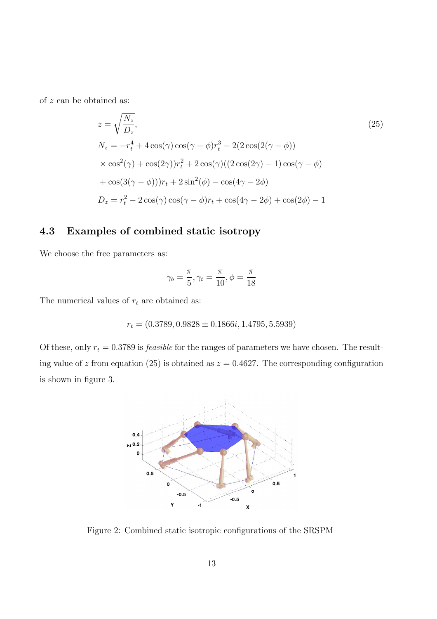of z can be obtained as:

$$
z = \sqrt{\frac{N_z}{D_z}},
$$
  
\n
$$
N_z = -r_t^4 + 4\cos(\gamma)\cos(\gamma - \phi)r_t^3 - 2(2\cos(2(\gamma - \phi)))
$$
  
\n
$$
\times \cos^2(\gamma) + \cos(2\gamma))r_t^2 + 2\cos(\gamma)((2\cos(2\gamma) - 1)\cos(\gamma - \phi))
$$
  
\n
$$
+ \cos(3(\gamma - \phi)))r_t + 2\sin^2(\phi) - \cos(4\gamma - 2\phi)
$$
  
\n
$$
D_z = r_t^2 - 2\cos(\gamma)\cos(\gamma - \phi)r_t + \cos(4\gamma - 2\phi) + \cos(2\phi) - 1
$$

### 4.3 Examples of combined static isotropy

We choose the free parameters as:

$$
\gamma_b = \frac{\pi}{5}, \gamma_t = \frac{\pi}{10}, \phi = \frac{\pi}{18}
$$

The numerical values of  $r_t$  are obtained as:

$$
r_t = (0.3789, 0.9828 \pm 0.1866i, 1.4795, 5.5939)
$$

Of these, only  $r_t = 0.3789$  is *feasible* for the ranges of parameters we have chosen. The resulting value of z from equation (25) is obtained as  $z = 0.4627$ . The corresponding configuration is shown in figure 3.



Figure 2: Combined static isotropic configurations of the SRSPM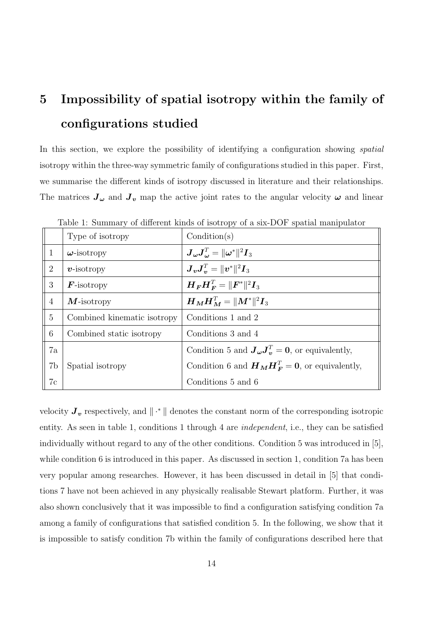# 5 Impossibility of spatial isotropy within the family of configurations studied

In this section, we explore the possibility of identifying a configuration showing *spatial* isotropy within the three-way symmetric family of configurations studied in this paper. First, we summarise the different kinds of isotropy discussed in literature and their relationships. The matrices  $J_{\omega}$  and  $J_{\nu}$  map the active joint rates to the angular velocity  $\omega$  and linear

|                | Type of isotropy            | Condition(s)                                                                                                             |
|----------------|-----------------------------|--------------------------------------------------------------------------------------------------------------------------|
| $\mathbf{1}$   | $\omega$ -isotropy          | $\boldsymbol{J}_{\boldsymbol{\omega}}\boldsymbol{J}_{\boldsymbol{\omega}}^T=\ \boldsymbol{\omega}^*\ ^2\boldsymbol{I}_3$ |
| $\overline{2}$ | $v$ -isotropy               | $\bm{J}_{\bm{v}}\bm{J}_{\bm{v}}^T = \ \bm{v}^*\ ^2\bm{I}_3$                                                              |
| 3              | $\bm{F}$ -isotropy          | $\boldsymbol{H}_{\boldsymbol{F}}\boldsymbol{H}_{\boldsymbol{F}}^T=\ \boldsymbol{F}^*\ ^2\boldsymbol{I}_3$                |
| $\overline{4}$ | $M$ -isotropy               | $\boldsymbol{H}_{\boldsymbol{M}}\boldsymbol{H}_{\boldsymbol{M}}^T=\ \boldsymbol{M}^*\ ^2\boldsymbol{I}_3$                |
| $\overline{5}$ | Combined kinematic isotropy | Conditions 1 and 2                                                                                                       |
| 6              | Combined static isotropy    | Conditions 3 and 4                                                                                                       |
| 7a             |                             | Condition 5 and $J_{\omega}J_{\omega}^T=0$ , or equivalently,                                                            |
| 7b             | Spatial isotropy            | Condition 6 and $\boldsymbol{H}_{\boldsymbol{M}}\boldsymbol{H}_{\boldsymbol{F}}^T=\boldsymbol{0}$ , or equivalently,     |
| 7c             |                             | Conditions 5 and 6                                                                                                       |

Table 1: Summary of different kinds of isotropy of a six-DOF spatial manipulator

velocity  $J_v$  respectively, and  $\|\cdot^*\|$  denotes the constant norm of the corresponding isotropic entity. As seen in table 1, conditions 1 through 4 are *independent*, i.e., they can be satisfied individually without regard to any of the other conditions. Condition 5 was introduced in [5], while condition 6 is introduced in this paper. As discussed in section 1, condition 7a has been very popular among researches. However, it has been discussed in detail in [5] that conditions 7 have not been achieved in any physically realisable Stewart platform. Further, it was also shown conclusively that it was impossible to find a configuration satisfying condition 7a among a family of configurations that satisfied condition 5. In the following, we show that it is impossible to satisfy condition 7b within the family of configurations described here that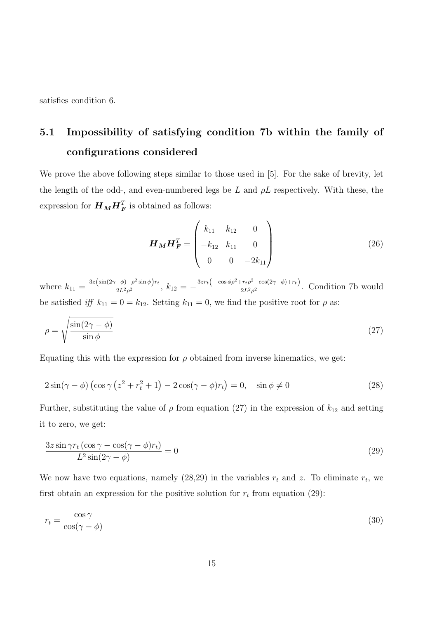satisfies condition 6.

# 5.1 Impossibility of satisfying condition 7b within the family of configurations considered

We prove the above following steps similar to those used in [5]. For the sake of brevity, let the length of the odd-, and even-numbered legs be L and  $\rho L$  respectively. With these, the expression for  $\boldsymbol{H}_{\boldsymbol{M}}\boldsymbol{H}_{\boldsymbol{F}}^T$  is obtained as follows:

$$
\boldsymbol{H}_{\boldsymbol{M}} \boldsymbol{H}_{\boldsymbol{F}}^T = \begin{pmatrix} k_{11} & k_{12} & 0 \\ -k_{12} & k_{11} & 0 \\ 0 & 0 & -2k_{11} \end{pmatrix} \tag{26}
$$

where  $k_{11} = \frac{3z(\sin(2\gamma-\phi)-\rho^2\sin\phi)r_t}{2L^2\rho^2}$  $\frac{(-\phi) - \rho^2 \sin \phi}{2L^2 \rho^2}$ ,  $k_{12} = -\frac{3z r_t (-\cos \phi \rho^2 + r_t \rho^2 - \cos(2\gamma - \phi) + r_t)}{2L^2 \rho^2}$  $\frac{P_t^2 p^2 \cos(2f - \varphi) + i\tau_f}{2L^2 \rho^2}$ . Condition 7b would be satisfied iff  $k_{11} = 0 = k_{12}$ . Setting  $k_{11} = 0$ , we find the positive root for  $\rho$  as:

$$
\rho = \sqrt{\frac{\sin(2\gamma - \phi)}{\sin \phi}}
$$
\n(27)

Equating this with the expression for  $\rho$  obtained from inverse kinematics, we get:

$$
2\sin(\gamma - \phi)\left(\cos\gamma\left(z^2 + r_t^2 + 1\right) - 2\cos(\gamma - \phi)r_t\right) = 0, \quad \sin\phi \neq 0
$$
\n(28)

Further, substituting the value of  $\rho$  from equation (27) in the expression of  $k_{12}$  and setting it to zero, we get:

$$
\frac{3z\sin\gamma r_t(\cos\gamma - \cos(\gamma - \phi)r_t)}{L^2\sin(2\gamma - \phi)} = 0\tag{29}
$$

We now have two equations, namely  $(28,29)$  in the variables  $r_t$  and z. To eliminate  $r_t$ , we first obtain an expression for the positive solution for  $r_t$  from equation (29):

$$
r_t = \frac{\cos \gamma}{\cos(\gamma - \phi)}\tag{30}
$$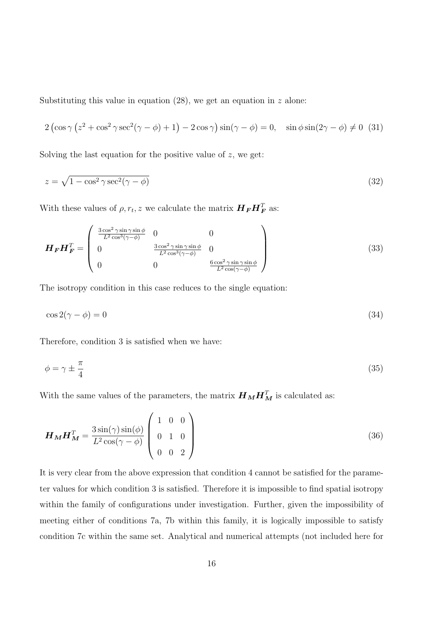Substituting this value in equation  $(28)$ , we get an equation in z alone:

$$
2\left(\cos\gamma\left(z^2 + \cos^2\gamma\sec^2(\gamma - \phi) + 1\right) - 2\cos\gamma\right)\sin(\gamma - \phi) = 0, \quad \sin\phi\sin(2\gamma - \phi) \neq 0 \tag{31}
$$

Solving the last equation for the positive value of  $z$ , we get:

$$
z = \sqrt{1 - \cos^2 \gamma \sec^2(\gamma - \phi)}
$$
\n(32)

With these values of  $\rho, r_t, z$  we calculate the matrix  $\boldsymbol{H}_{\boldsymbol{F}}\boldsymbol{H}_{\boldsymbol{F}}^T$  as:

$$
\boldsymbol{H}_{\boldsymbol{F}} \boldsymbol{H}_{\boldsymbol{F}}^T = \begin{pmatrix} \frac{3\cos^2\gamma\sin\gamma\sin\phi}{L^2\cos^3(\gamma-\phi)} & 0 & 0\\ 0 & \frac{3\cos^2\gamma\sin\gamma\sin\phi}{L^2\cos^3(\gamma-\phi)} & 0\\ 0 & 0 & \frac{6\cos^2\gamma\sin\gamma\sin\phi}{L^2\cos(\gamma-\phi)} \end{pmatrix}
$$
(33)

The isotropy condition in this case reduces to the single equation:

$$
\cos 2(\gamma - \phi) = 0 \tag{34}
$$

Therefore, condition 3 is satisfied when we have:

$$
\phi = \gamma \pm \frac{\pi}{4} \tag{35}
$$

With the same values of the parameters, the matrix  $\boldsymbol{H}_{\boldsymbol{M}}\boldsymbol{H}_{\boldsymbol{M}}^T$  is calculated as:

$$
\boldsymbol{H}_{\boldsymbol{M}} \boldsymbol{H}_{\boldsymbol{M}}^T = \frac{3 \sin(\gamma) \sin(\phi)}{L^2 \cos(\gamma - \phi)} \begin{pmatrix} 1 & 0 & 0 \\ 0 & 1 & 0 \\ 0 & 0 & 2 \end{pmatrix}
$$
(36)

It is very clear from the above expression that condition 4 cannot be satisfied for the parameter values for which condition 3 is satisfied. Therefore it is impossible to find spatial isotropy within the family of configurations under investigation. Further, given the impossibility of meeting either of conditions 7a, 7b within this family, it is logically impossible to satisfy condition 7c within the same set. Analytical and numerical attempts (not included here for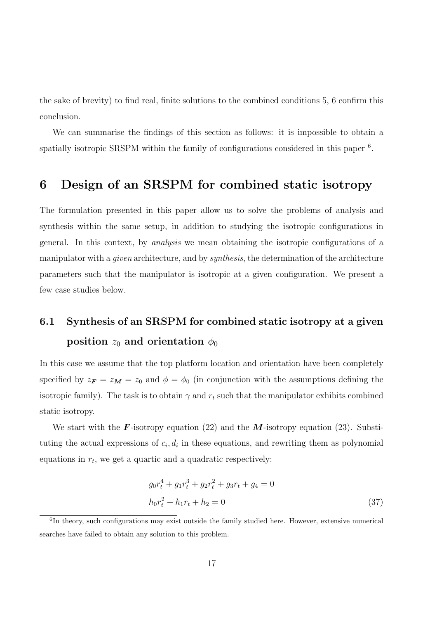the sake of brevity) to find real, finite solutions to the combined conditions 5, 6 confirm this conclusion.

We can summarise the findings of this section as follows: it is impossible to obtain a spatially isotropic SRSPM within the family of configurations considered in this paper<sup>6</sup>.

## 6 Design of an SRSPM for combined static isotropy

The formulation presented in this paper allow us to solve the problems of analysis and synthesis within the same setup, in addition to studying the isotropic configurations in general. In this context, by analysis we mean obtaining the isotropic configurations of a manipulator with a *given* architecture, and by *synthesis*, the determination of the architecture parameters such that the manipulator is isotropic at a given configuration. We present a few case studies below.

# 6.1 Synthesis of an SRSPM for combined static isotropy at a given position  $z_0$  and orientation  $\phi_0$

In this case we assume that the top platform location and orientation have been completely specified by  $z_F = z_M = z_0$  and  $\phi = \phi_0$  (in conjunction with the assumptions defining the isotropic family). The task is to obtain  $\gamma$  and  $r_t$  such that the manipulator exhibits combined static isotropy.

We start with the **F**-isotropy equation (22) and the **M**-isotropy equation (23). Substituting the actual expressions of  $c_i, d_i$  in these equations, and rewriting them as polynomial equations in  $r_t$ , we get a quartic and a quadratic respectively:

$$
g_0 r_t^4 + g_1 r_t^3 + g_2 r_t^2 + g_3 r_t + g_4 = 0
$$
  

$$
h_0 r_t^2 + h_1 r_t + h_2 = 0
$$
 (37)

<sup>&</sup>lt;sup>6</sup>In theory, such configurations may exist outside the family studied here. However, extensive numerical searches have failed to obtain any solution to this problem.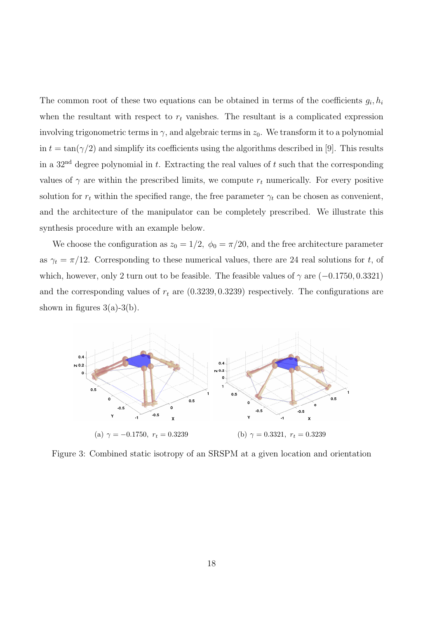The common root of these two equations can be obtained in terms of the coefficients  $g_i, h_i$ when the resultant with respect to  $r_t$  vanishes. The resultant is a complicated expression involving trigonometric terms in  $\gamma$ , and algebraic terms in  $z_0$ . We transform it to a polynomial in  $t = \tan(\gamma/2)$  and simplify its coefficients using the algorithms described in [9]. This results in a  $32<sup>nd</sup>$  degree polynomial in t. Extracting the real values of t such that the corresponding values of  $\gamma$  are within the prescribed limits, we compute  $r_t$  numerically. For every positive solution for  $r_t$  within the specified range, the free parameter  $\gamma_t$  can be chosen as convenient, and the architecture of the manipulator can be completely prescribed. We illustrate this synthesis procedure with an example below.

We choose the configuration as  $z_0 = 1/2$ ,  $\phi_0 = \pi/20$ , and the free architecture parameter as  $\gamma_t = \pi/12$ . Corresponding to these numerical values, there are 24 real solutions for t, of which, however, only 2 turn out to be feasible. The feasible values of  $\gamma$  are  $(-0.1750, 0.3321)$ and the corresponding values of  $r_t$  are  $(0.3239, 0.3239)$  respectively. The configurations are shown in figures  $3(a)-3(b)$ .



Figure 3: Combined static isotropy of an SRSPM at a given location and orientation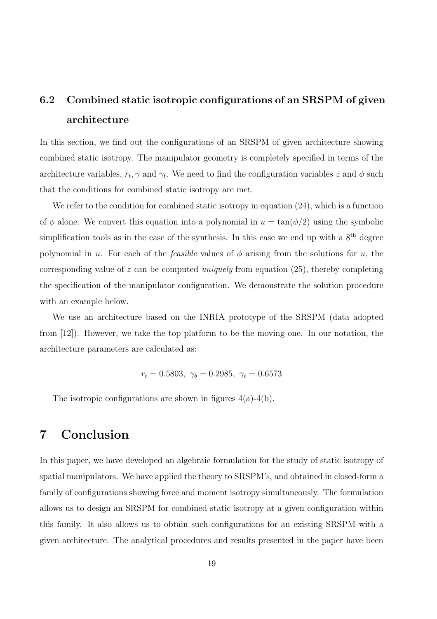# 6.2 Combined static isotropic configurations of an SRSPM of given architecture

In this section, we find out the configurations of an SRSPM of given architecture showing combined static isotropy. The manipulator geometry is completely specified in terms of the architecture variables,  $r_t$ ,  $\gamma$  and  $\gamma_t$ . We need to find the configuration variables z and  $\phi$  such that the conditions for combined static isotropy are met.

We refer to the condition for combined static isotropy in equation  $(24)$ , which is a function of  $\phi$  alone. We convert this equation into a polynomial in  $u = \tan(\phi/2)$  using the symbolic simplification tools as in the case of the synthesis. In this case we end up with a  $8<sup>th</sup>$  degree polynomial in u. For each of the *feasible* values of  $\phi$  arising from the solutions for u, the corresponding value of z can be computed *uniquely* from equation (25), thereby completing the specification of the manipulator configuration. We demonstrate the solution procedure with an example below.

We use an architecture based on the INRIA prototype of the SRSPM (data adopted from [12]). However, we take the top platform to be the moving one. In our notation, the architecture parameters are calculated as:

$$
r_t = 0.5803, \ \gamma_b = 0.2985, \ \gamma_t = 0.6573
$$

The isotropic configurations are shown in figures  $4(a)-4(b)$ .

# 7 Conclusion

In this paper, we have developed an algebraic formulation for the study of static isotropy of spatial manipulators. We have applied the theory to SRSPM's, and obtained in closed-form a family of configurations showing force and moment isotropy simultaneously. The formulation allows us to design an SRSPM for combined static isotropy at a given configuration within this family. It also allows us to obtain such configurations for an existing SRSPM with a given architecture. The analytical procedures and results presented in the paper have been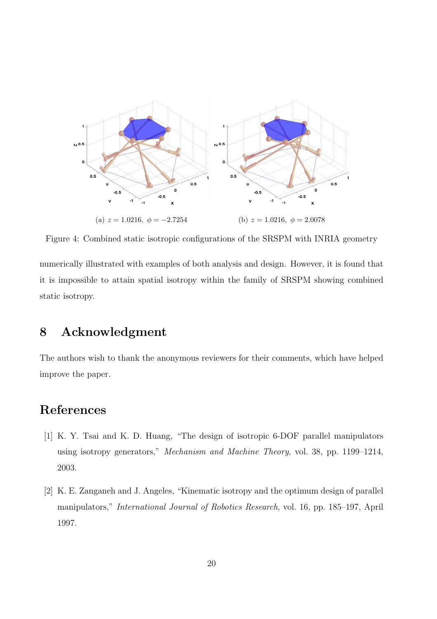

Figure 4: Combined static isotropic configurations of the SRSPM with INRIA geometry

numerically illustrated with examples of both analysis and design. However, it is found that it is impossible to attain spatial isotropy within the family of SRSPM showing combined static isotropy.

# 8 Acknowledgment

The authors wish to thank the anonymous reviewers for their comments, which have helped improve the paper.

# References

- [1] K. Y. Tsai and K. D. Huang, "The design of isotropic 6-DOF parallel manipulators using isotropy generators," Mechanism and Machine Theory, vol. 38, pp. 1199–1214, 2003.
- [2] K. E. Zanganeh and J. Angeles, "Kinematic isotropy and the optimum design of parallel manipulators," International Journal of Robotics Research, vol. 16, pp. 185–197, April 1997.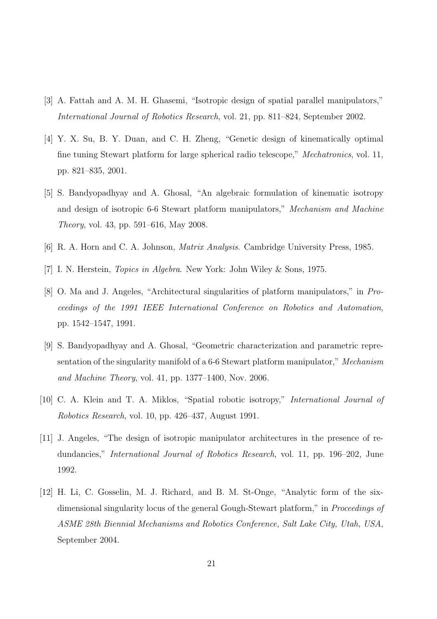- [3] A. Fattah and A. M. H. Ghasemi, "Isotropic design of spatial parallel manipulators," International Journal of Robotics Research, vol. 21, pp. 811–824, September 2002.
- [4] Y. X. Su, B. Y. Duan, and C. H. Zheng, "Genetic design of kinematically optimal fine tuning Stewart platform for large spherical radio telescope," Mechatronics, vol. 11, pp. 821–835, 2001.
- [5] S. Bandyopadhyay and A. Ghosal, "An algebraic formulation of kinematic isotropy and design of isotropic 6-6 Stewart platform manipulators," Mechanism and Machine Theory, vol. 43, pp. 591–616, May 2008.
- [6] R. A. Horn and C. A. Johnson, Matrix Analysis. Cambridge University Press, 1985.
- [7] I. N. Herstein, Topics in Algebra. New York: John Wiley & Sons, 1975.
- [8] O. Ma and J. Angeles, "Architectural singularities of platform manipulators," in Proceedings of the 1991 IEEE International Conference on Robotics and Automation, pp. 1542–1547, 1991.
- [9] S. Bandyopadhyay and A. Ghosal, "Geometric characterization and parametric representation of the singularity manifold of a 6-6 Stewart platform manipulator," Mechanism and Machine Theory, vol. 41, pp. 1377–1400, Nov. 2006.
- [10] C. A. Klein and T. A. Miklos, "Spatial robotic isotropy," International Journal of Robotics Research, vol. 10, pp. 426–437, August 1991.
- [11] J. Angeles, "The design of isotropic manipulator architectures in the presence of redundancies," International Journal of Robotics Research, vol. 11, pp. 196–202, June 1992.
- [12] H. Li, C. Gosselin, M. J. Richard, and B. M. St-Onge, "Analytic form of the sixdimensional singularity locus of the general Gough-Stewart platform," in Proceedings of ASME 28th Biennial Mechanisms and Robotics Conference, Salt Lake City, Utah, USA, September 2004.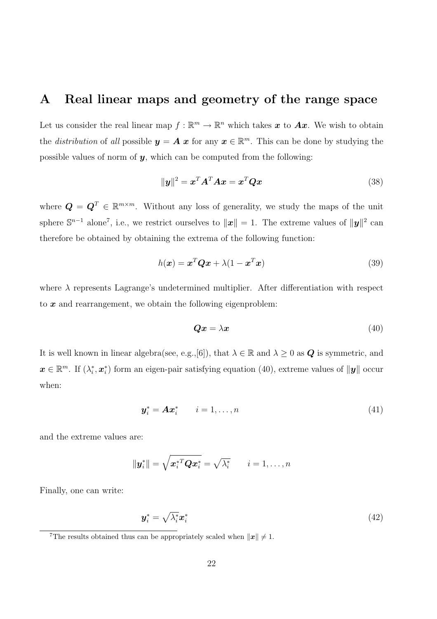### A Real linear maps and geometry of the range space

Let us consider the real linear map  $f : \mathbb{R}^m \to \mathbb{R}^n$  which takes  $x$  to  $Ax$ . We wish to obtain the *distribution* of all possible  $y = A x$  for any  $x \in \mathbb{R}^m$ . This can be done by studying the possible values of norm of  $y$ , which can be computed from the following:

$$
\|\mathbf{y}\|^2 = \mathbf{x}^T \mathbf{A}^T \mathbf{A} \mathbf{x} = \mathbf{x}^T \mathbf{Q} \mathbf{x}
$$
 (38)

where  $\mathbf{Q} = \mathbf{Q}^T \in \mathbb{R}^{m \times m}$ . Without any loss of generality, we study the maps of the unit sphere  $\mathbb{S}^{n-1}$  alone<sup>7</sup>, i.e., we restrict ourselves to  $\|\mathbf{x}\|=1$ . The extreme values of  $\|\mathbf{y}\|^2$  can therefore be obtained by obtaining the extrema of the following function:

$$
h(\boldsymbol{x}) = \boldsymbol{x}^T \boldsymbol{Q} \boldsymbol{x} + \lambda (1 - \boldsymbol{x}^T \boldsymbol{x}) \tag{39}
$$

where  $\lambda$  represents Lagrange's undetermined multiplier. After differentiation with respect to  $x$  and rearrangement, we obtain the following eigenproblem:

$$
Qx = \lambda x \tag{40}
$$

It is well known in linear algebra(see, e.g.,[6]), that  $\lambda \in \mathbb{R}$  and  $\lambda \geq 0$  as  $Q$  is symmetric, and  $\boldsymbol{x} \in \mathbb{R}^m$ . If  $(\lambda_i^*$  $_i^*,\boldsymbol{x}_i^*$  $\hat{i}$ ) form an eigen-pair satisfying equation (40), extreme values of  $\|\boldsymbol{y}\|$  occur when:

$$
\mathbf{y}_i^* = \mathbf{A}\mathbf{x}_i^* \qquad i = 1, \dots, n \tag{41}
$$

and the extreme values are:

$$
\|\boldsymbol{y}_i^*\| = \sqrt{\boldsymbol{x}_i^{*T}\boldsymbol{Q}\boldsymbol{x}_i^*} = \sqrt{\lambda_i^*} \qquad i = 1, \dots, n
$$

Finally, one can write:

$$
\mathbf{y}_i^* = \sqrt{\lambda_i^*} \mathbf{x}_i^* \tag{42}
$$

<sup>&</sup>lt;sup>7</sup>The results obtained thus can be appropriately scaled when  $||x|| \neq 1$ .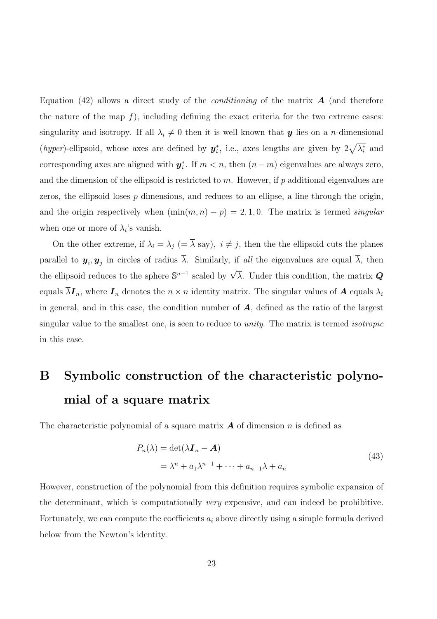Equation (42) allows a direct study of the *conditioning* of the matrix  $\boldsymbol{A}$  (and therefore the nature of the map  $f$ ), including defining the exact criteria for the two extreme cases: singularity and isotropy. If all  $\lambda_i \neq 0$  then it is well known that **y** lies on a n-dimensional (hyper)-ellipsoid, whose axes are defined by  $y_i^*$ <sup>\*</sup><sub>i</sub>, i.e., axes lengths are given by  $2\sqrt{\lambda_i^*}$  $_i^*$  and corresponding axes are aligned with  $y_i^*$ <sup>\*</sup>/<sub>i</sub>. If  $m < n$ , then  $(n - m)$  eigenvalues are always zero, and the dimension of the ellipsoid is restricted to  $m$ . However, if  $p$  additional eigenvalues are zeros, the ellipsoid loses  $p$  dimensions, and reduces to an ellipse, a line through the origin, and the origin respectively when  $(\min(m, n) - p) = 2, 1, 0$ . The matrix is termed singular when one or more of  $\lambda_i$ 's vanish.

On the other extreme, if  $\lambda_i = \lambda_j$  (=  $\overline{\lambda}$  say),  $i \neq j$ , then the the ellipsoid cuts the planes parallel to  $y_i, y_j$  in circles of radius  $\lambda$ . Similarly, if all the eigenvalues are equal  $\lambda$ , then the ellipsoid reduces to the sphere  $\mathbb{S}^{n-1}$  scaled by  $\sqrt{\overline{\lambda}}$ . Under this condition, the matrix  $\mathbf{Q}$ equals  $\overline{\lambda}$ **I**<sub>n</sub>, where **I**<sub>n</sub> denotes the  $n \times n$  identity matrix. The singular values of **A** equals  $\lambda_i$ in general, and in this case, the condition number of  $A$ , defined as the ratio of the largest singular value to the smallest one, is seen to reduce to unity. The matrix is termed isotropic in this case.

# B Symbolic construction of the characteristic polynomial of a square matrix

The characteristic polynomial of a square matrix  $\boldsymbol{A}$  of dimension n is defined as

$$
P_n(\lambda) = \det(\lambda \mathbf{I}_n - \mathbf{A})
$$
  
=  $\lambda^n + a_1 \lambda^{n-1} + \dots + a_{n-1} \lambda + a_n$  (43)

However, construction of the polynomial from this definition requires symbolic expansion of the determinant, which is computationally very expensive, and can indeed be prohibitive. Fortunately, we can compute the coefficients  $a_i$  above directly using a simple formula derived below from the Newton's identity.